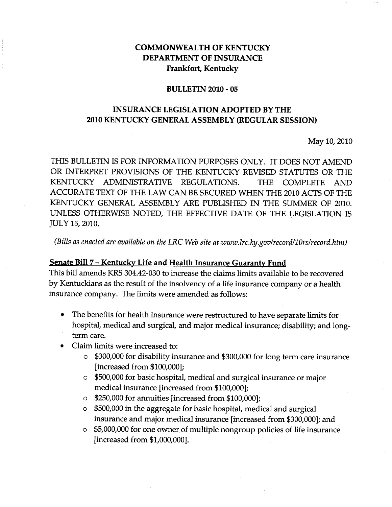## **COMMONWEALTH OF KENTUCKY DEPARTMENT OF INSURANCE Frankfort, Kentucky**

#### **BULLETIN 2010 - 05**

# **INSURANCE LEGISLATION ADOPTED BY THE· 2010 KENTUCKY GENERAL ASSEMBLY (REGULAR SESSION)**

#### May 10, 2010

THIS BULLETIN IS FOR INFORMATION PURPOSES ONLY. IT DOES NOT AMEND OR INTERPRET PROVISIONS OF THE KENTUCKY REVISED STATUTES OR THE KENTUCKY ADMINISTRATIVE REGULATIONS. THE COMPLETE AND ACCURATE TEXT OF THE LAW CAN BE SECURED WHEN THE 2010 ACTS OF THE KENTUCKY GENERAL ASSEMBLY ARE PUBLISHED IN THE SUMMER OF 2010. UNLESS OTHERWISE NOTED, THE EFFECTIVE DATE OF THE LEGISLATION IS JULY 15, 2010.

*(Bills as enacted are available on the LRC Web site at www.lrc.ky.gov/record/l0rs/record.htm)*

#### **Senate Bill 7 - Kentucky Life and Health Insurance Guaranty Fund**

This bill amends KRS 304.42-030 to increase the claims limits available to be recovered by Kentuckians as the result of the insolvency of a life insurance company or a health insurance company. The limits were amended as follows:

- The benefits for health insurance were restructured to have separate limits for hospital, medical and surgical, and major medical insurance; disability; and longterm care.
- Claim limits were increased to:
	- \$300,000 for disability insurance and \$300,000 for long term care insurance [increased from \$100,000];
	- o \$500,000 for basic hospital, medical and surgical insurance or major medical insurance [increased from \$100,000];
	- o \$250,000 for annuities [increased from \$100,000];
	- o \$500,000 in the aggregate for basic hospital, medical and surgical insurance and major medical insurance [increased from \$300,000]; and
	- o \$5,000,000 for one owner of multiple nongroup policies of life insurance [increased from \$1,000,000].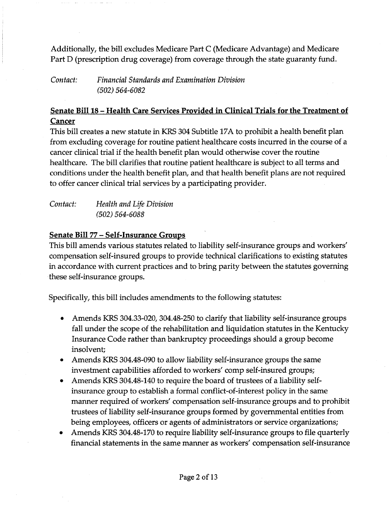Additionally, the bill excludes Medicare Part C (Medicare Advantage) and Medicare Part D (prescription drug coverage) from coverage through the state guaranty fund.

*Contact: Financial Standards and Examination Division (502) 564-6082*

# Senate Bill 18 - Health Care Services Provided in Clinical Trials for the Treatment of Cancer

This bill creates a new statute in KRS 304 Subtitle 17A to prohibit a health benefit plan from excluding coverage for routine patient healthcare costs incurred in the course of a cancer clinical trial if the health benefit plan would otherwise cover the routine healthcare. The bill clarifies that routine patient healthcare is subject to all terms and conditions under the health benefit plan, and that health benefit plans are not required to offer cancer clinical trial services by a participating provider.

| Contact: | Health and Life Division |
|----------|--------------------------|
|          | $(502) 564 - 6088$       |

### Senate Bill 77 – Self-Insurance Groups

This bill amends various statutes related to liability self-insurance groups and workers' compensation self-insured groups to provide technical clarifications to existing statutes in accordance with current practices and to bring parity between the statutes governing these self-insurance groups.

Specifically, this bill includes amendments to the following statutes:

- Amends KRS 304.33-020, 304.48-250 to clarify that liability self-insurance groups fall under the scope of the rehabilitation and liquidation statutes in the Kentucky Insurance Code rather than bankruptcy proceedings should a group become insolvent;
- Amends KRS 304.48-090 to allow liability self-insurance groups the same investment capabilities afforded to workers' comp self-insured groups;
- Amends KRS 304.48-140 to require the board of trustees of a liability selfinsurance group to establish a formal conflict-of-interest policy in the same manner required of workers' compensation self-insurance groups and to prohibit trustees of liability self-insurance groups formed by governmental entities from being employees, officers or agents of administrators or service organizations;
- Amends KRS 304.48-170 to require liability self-insurance groups to file quarterly financial statements in the same manner as workers' compensation self-insurance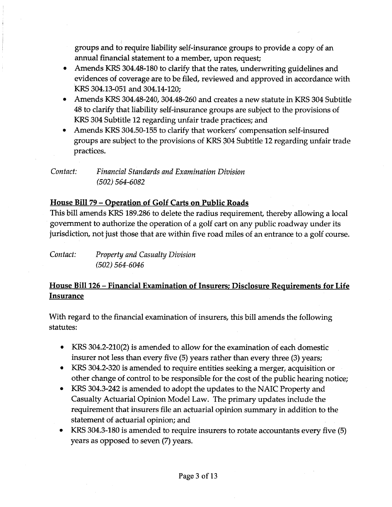groups and to require liability self-insurance groups to provide a copy of an annual financial statement to a member, upon request;

- Amends KRS 304.48-180 to clarify that the rates, underwriting guidelines and evidences of coverage are to be filed, reviewed and approved in accordance with KRS 304.13-051 and 304.14-120;
- Amends KRS 304.48-240, 304.48-260 and creates a new statute in KRS 304 Subtitle 48 to clarify that liability self-insurance groups are subject to the provisions of KRS 304 Subtitle 12 regarding unfair trade practices; and
- Amends KRS 304.50-155 to clarify that workers' compensation self-insured groups are subject to the provisions of KRS 304 Subtitle 12 regarding unfair trade practices.

## *Contact: Financial Standards and Examination Division (502) 564-6082*

# House Bill 79 - Operation of Golf Carts on Public Roads

This bill amends KRS 189.286 to delete the radius requirement, thereby allowing a local government to authorize the operation of a golf cart on any public roadway under its jurisdiction, not just those that are within five road miles of an entrance to a golf course.

*Contact: Property and Casualty Division (502) 564-6046*

# House Bill 126 - Financial Examination of Insurers; Disclosure Requirements for Life **Insurance**

With regard to the financial examination of insurers, this bill amends the following statutes:

- KRS 304.2-210(2) is amended to allow for the examination of each domestic insurer not less than every five (5) years rather than every three (3) years;
- KRS 304.2-320 is amended to require entities seeking a merger, acquisition or other change of control to be responsible for the cost of the public hearing notice;
- KRS 304.3-242 is amended to adopt the updates to the NAIC Property and Casualty Actuarial Opinion Model Law. The primary updates include the requirement that insurers file an actuarial opinion summary in addition to the statement of actuarial opinion; and
- KRS 304.3-180 is amended to require insurers to rotate accountants every five (5) years as opposed to seven (7) years.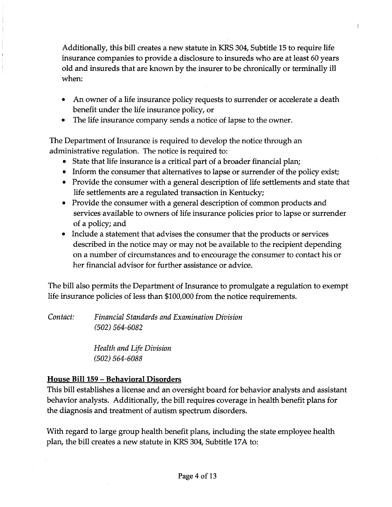Additionally, this bill creates a new statute in KRS 304, Subtitle 15 to require life insurance companies to provide a disclosure to insureds who are at least 60 years old and insureds that are known by the insurer to be chronically or terminally ill when:

 $\left($ 

- An owner of a life insurance policy requests to surrender or accelerate a death benefit under the life insurance policy, or
- The life insurance company sends a notice of lapse to the owner.

The Department of Insurance is required to develop the notice through an administrative regulation. The notice is required to:

- State that life insurance is a critical part of a broader financial plan;
- Inform the consumer that alternatives to lapse or surrender of the policy exist;
- Provide the consumer with a general description of life settlements and state that life settlements are a regulated transaction in Kentucky;
- Provide the consumer with a general description of common products and services available to owners of life insurance policies prior to lapse or surrender of a policy; and
- Include a statement that advises the consumer that the products or services described in the notice mayor may not be available to the recipient depending on a number of circumstances and to encourage the consumer to contact his or her financial advisor for further assistance or advice.

The bill also permits the Department of Insurance to promulgate a regulation to exempt life insurance policies of less than \$100,000 from the notice requirements.

*Contact: Financial Standards and Examination Division (502) 564-6082*

> *Health and Life Division (502) 564-6088*

# **House** Bill 159 - **Behavioral Disorders**

This bill establishes a license and an oversight board for behavior analysts and assistant behavior analysts. Additionally, the bill requires coverage in health benefit plans for the diagnosis and treatment of autism spectrum disorders.

With regard to large group health benefit plans, including the state employee health plan, the bill creates a new statute in KRS 304, Subtitle 17A to: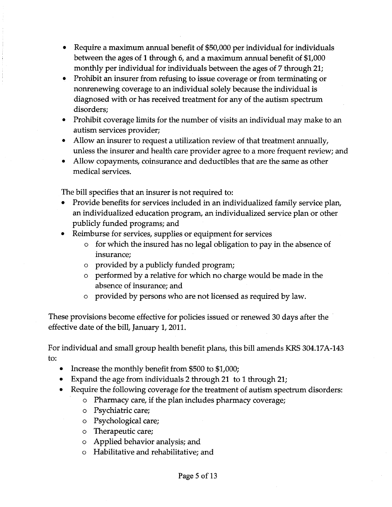- Require a maximum annual benefit of \$50,000 per individual for individuals between the ages of 1 through 6, and a maximum annual benefit of \$1,000 monthly per individual for individuals between the ages of 7 through 21;
- Prohibit an insurer from refusing to issue coverage or from terminating or nonrenewing coverage to an individual solely because the individual is diagnosed with or has received treatment for any of the autism spectrum disorders;
- Prohibit coverage limits for the number of visits an individual may make to an autism services provider;
- Allow an insurer to request a utilization review of that treatment annually, unless the insurer and health care provider agree to a more frequent review; and
- Allow copayments, coinsurance and deductibles that are the same as other medical services.

The bill specifies that an insurer is not required to:

- Provide benefits for services included in an individualized family service plan, an individualized education program, an individualized service plan or other publicly funded programs; and
- Reimburse for services, supplies or equipment for services
	- o for which the insured has no legal obligation to pay in the absence of insurance;
	- o provided by a publicly funded program;
	- o performed by a relative for which no charge would be made in the absence of insurance; and
	- o provided by persons who are not licensed as required by law.

These provisions become effective for policies issued or renewed 30 days after the effective date of the bill, January 1, 2011.

For individual and small group health benefit plans, this bill amends KRS 304.17A-143 to:

- Increase the monthly benefit from \$500 to \$1,000;
- Expand the age from individuals 2 through 21 to 1 through 21;
- Require the following coverage for the treatment of autism spectrum disorders:
	- o Pharmacy care, if the plan includes pharmacy coverage;
	- o Psychiatric care;
	- o Psychological care;
	- o Therapeutic care;
	- o Applied behavior analysis; and
	- o Habilitative and rehabilitative; and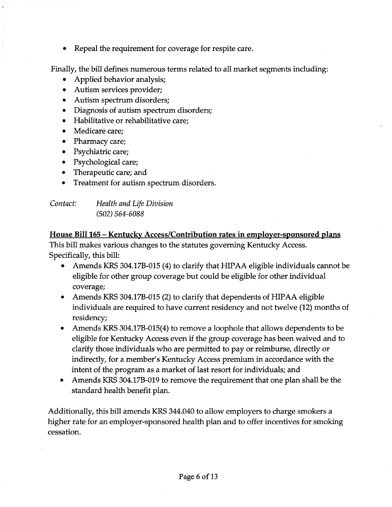• Repeal the requirement for coverage for respite care.

Finally, the bill defines numerous terms related to all market segments including:

- Applied behavior analysis;
- Autism services provider;
- Autism spectrum disorders;
- Diagnosis of autism spectrum disorders;
- Habilitative or rehabilitative care;
- Medicare care:
- Pharmacy care;
- Psychiatric care;
- Psychological care;
- Therapeutic care; and
- Treatment for autism spectrum disorders.

# *Contact: Health and Life Division (502) 564-6088*

House Bill 165 - Kentucky Access/Contribution rates in employer-sponsored plans This bill makes various changes to the statutes governing Kentucky Access. Specifically, this bill:

- Amends KRS 304.17B-015 (4) to clarify that HIPAA eligible individuals cannot be eligible for other group coverage but could be eligible for other individual coverage;
- Amends KRS 304.17B-015 (2) to clarify that dependents of HIPAA eligible individuals are required to have current residency and not twelve (12) months of residency;
- Amends KRS 304.17B-015(4) to remove a loophole that allows dependents to be eligible for Kentucky Access even if the group coverage has been waived and to clarify those individuals who are permitted to payor reimburse, directly or indirectly, for a member's Kentucky Access premium in accordance with the intent of the program as a market of last resort for individuals; and
- Amends KRS 304.17B-019 to remove the requirement that one plan shall be the standard health benefit plan.

Additionally, this bill amends KRS 344.040 to allow employers to charge smokers a higher rate for an employer-sponsored health plan and to offer incentives for smoking cessation.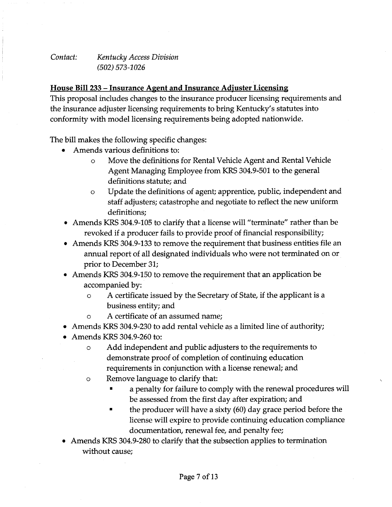*Contact: Kentucky Access Division (502) 573-1026*

### **House Bill 233 - Insurance Agent and Insurance Adjuster Licensing**

This proposal includes changes to the insurance producer licensing requirements and the insurance adjuster licensing requirements to bring Kentucky's statutes into conformity with model licensing requirements being adopted nationwide.

The bill makes the following specific changes:

- Amends various definitions to:
	- o Move the definitions for Rental Vehicle Agent and Rental Vehicle Agent Managing Employee from KRS 304.9-501 to the general definitions statute; and
	- o Update the definitions of agent; apprentice, public, independent and staff adjusters; catastrophe and negotiate to reflect the new uniform definitions;
- Amends KRS 304.9-105 to clarify that a license will "terminate" rather than be revoked if a producer fails to provide proof of financial responsibility;
- Amends KRS 304.9-133 to remove the requirement that business entities file an annual report of all designated individuals who were not terminated on or prior to December 31;
- Amends KRS 304.9-150 to remove the requirement that an application be accompanied by:
	- o A certificate issued by the Secretary of State, if the applicant is a business entity; and
	- o A certificate of an assumed name;
- Amends KRS 304.9-230 to add rental vehicle as a limited line of authority;
- Amends KRS 304.9-260 to:
	- o Add independent and public adjusters to the requirements to demonstrate proof of completion of continuing education requirements in conjunction with a license renewal; and
	- o Remove language to clarify that:
		- a penalty for failure to comply with the renewal procedures will be assessed from the first day after expiration; and
		- the producer will have a sixty (60) day grace period before the license will expire to provide continuing education compliance documentation, renewal fee, and penalty fee;
- Amends KRS 304.9-280 to clarify that the subsection applies to termination without cause;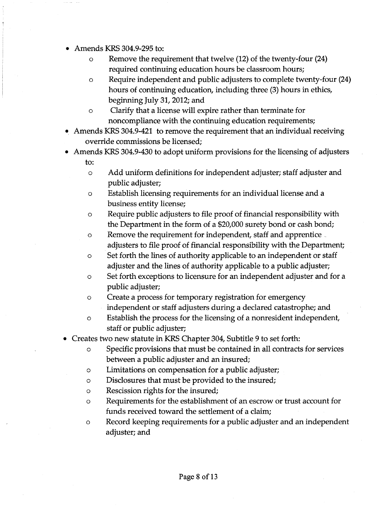- Amends KRS 304.9-295 to:
	- o Remove the requirement that twelve (12) of the twenty-four (24) required continuing education hours be classroom hours;
	- o Require independent and public adjusters to complete twenty-four (24) hours of continuing education, including three (3) hours in ethics, beginning July 31, 2012; and
	- o Clarify that a license will expire rather than terminate for noncompliance with the continuing education requirements;
- Amends KRS 304.9-421 to remove the requirement that an individual receiving override commissions be licensed;
- Amends KRS 304.9-430 to adopt uniform provisions for the licensing of adjusters to:
	- o Add uniform definitions for independent adjuster; staff adjuster and public adjuster;
	- o Establish licensing requirements for an individual license and a business entity license;
	- o Require public adjusters to file proof of financial responsibility with the Department in the form of a \$20,000 surety bond or cash bond;
	- o Remove the requirement for independent, staff and apprentice \_ adjusters to file proof of financial responsibility with the Department;
	- o Set forth the lines of authority applicable to an independent or staff adjuster and the lines of authority applicable to a public adjuster;
	- o Set forth exceptions to licensure for an independent adjuster and for a public adjuster;
	- o Create a process for temporary registration for emergency independent or staff adjusters during a declared catastrophe; and
	- o Establish the process for the licensing of a nonresident independent, staff or public adjuster;
- Creates two new statute in KRS Chapter 304, Subtitle 9 to set forth:
	- o Specific provisions that must be contained in all contracts for services between a public adjuster and an insured;
	- o Limitations on compensation for a public adjuster;
	- o Disclosures that must be provided to the insured;
	- o Rescission rights for the insured;
	- o Requirements for the establishment of an escrow or trust account for funds received toward the settlement of a claim;
	- o Record keeping requirements for a public adjuster and an independent adjuster; and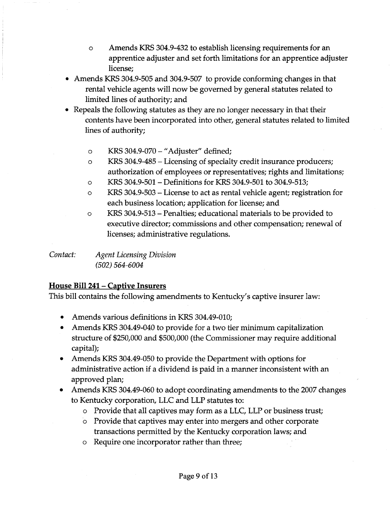- o Amends KRS 304.9-432 to establish licensing requirements for an apprentice adjuster and set forth limitations for an apprentice adjuster license;
- Amends KRS 304.9-505 and 304.9-507 to provide conforming changes in that rental vehicle agents will now be governed by general statutes related to limited lines of authority; and
- Repeals the following statutes as they are no longer necessary in that their contents have been incorporated into other, general statutes related to limited lines of authority;
	- o KRS 304.9-070 -"Adjuster" defined;
	- o KRS 304.9-485 Licensing of specialty credit insurance producers; authorization of employees or representatives; rights and limitations;
	- o KRS 304.9-501 Definitions for KRS 304.9-501 to 304.9-513;
	- o KRS 304.9-503 License to act as rental vehicle agent; registration for each business location; application for license; and
	- o KRS 304.9-513 Penalties; educational materials to be provided to executive director; commissions and other compensation; renewal of licenses; administrative regulations.

*Contact: Agent Licensing Division (502) 564-6004*

# **House Bill 241 - Captive Insurers**

This bill contains the following amendments to Kentucky's captive insurer law:

- Amends various definitions in KRS 304.49-010;
- Amends KRS 304.49-040 to provide for a two tier minimum capitalization structure of \$250,000 and \$500,000 (the Commissioner may require additional capital);
- Amends KRS 304.49-050 to provide the Department with options for administrative action if a dividend is paid in a manner inconsistent with an approved plan;
- Amends KRS 304.49-060 to adopt coordinating amendments to the 2007 changes to Kentucky corporation, LLC and LLP statutes to:
	- o Provide that all captives may form as a LLC, LLP or business trust;
	- o Provide that captives may enter into mergers and other corporate transactions permitted by the Kentucky corporation laws; and
	- o Require one incorporator rather than three;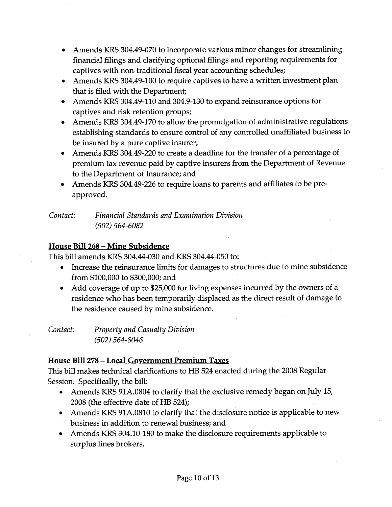- Amends KRS 304.49-070 to incorporate various minor changes for streamlining financial filings and clarifying optional filings and reporting requirements for captives with non-traditional fiscal year accounting schedules;
- Amends KRS 304.49-100 to require captives to have a written investment plan that is filed with the Department;
- Amends KRS 304.49-110 and 304.9-130 to expand reinsurance options for captives and risk retention groups;
- Amends KRS 304.49-170 to allow the promulgation of administrative regulations establishing standards to ensure control of any controlled unaffiliated business to be insured by a pure captive insurer;
- Amends KRS 304.49-220 to create a deadline for the transfer of a percentage of premium tax revenue paid by captive insurers from the Department of Revenue to the Department of Insurance; and
- Amends KRS 304.49-226 to require loans to parents and affiliates to be preapproved.

*Contact: Financial Standards and Examination Division (502) 564-6082*

# House Bill 268 - Mine Subsidence

This bill amends KRS 304.44-030 and KRS 304.44-050 to:

- Increase the reinsurance limits for damages to structures due to mine subsidence from \$100,000 to \$300,000; and
- Add coverage of up to \$25,000 for living expenses incurred by the owners of a residence who has been temporarily displaced as the direct result of damage to the residence caused by mine subsidence.

*Contact: Property and Casualty Division (502) 564-6046*

# House Bill 278 - Local Government Premium Taxes

This bill makes technical clarifications to HB 524 enacted during the 2008 Regular Session. Specifically, the bill:

- Amends KRS 91A.0804 to clarify that the exclusive remedy began on July 15, 2008 (the effective date of HB 524);
- Amends KRS 91A.0810 to clarify that the disclosure notice is applicable to new business in addition to renewal business; and
- Amends KRS 304.10-180 to make the disclosure requirements applicable to surplus lines brokers.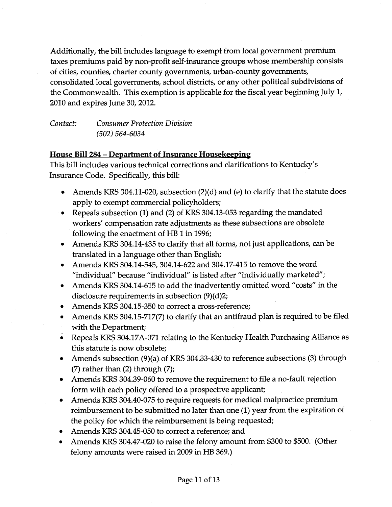Additionally, the bill includes language to exempt from local government premium taxes premiums paid by non-profit self-insurance groups whose membership consists of cities, counties, charter county governments, urban-county governments, consolidated local governments, school districts, or any other political subdivisions of the Commonwealth. This exemption is applicable for the fiscal year beginning July I, 2010 and expires June 30, 2012.

*Contact: Consumer Protection Division (502) 564-6034*

### **House Bill 284 - Department of Insurance Housekeeping**

This bill includes various technical corrections and clarifications to Kentucky's Insurance Code. Specifically, this bill:

- Amends KRS 304.11-020, subsection (2)(d) and (e) to clarify that the statute does apply to exempt commercial policyholders;
- Repeals subsection (1) and (2) of KRS 304.13-053 regarding the mandated workers' compensation rate adjustments as these subsections are obsolete following the enactment of HB 1 in 1996;
- Amends KRS 304.14-435 to clarify that all forms, not just applications, can be translated in a language other than English;
- Amends KRS 304.14-545, 304.14-622 and 304.17-415 to remove the word "individual" because "individual" is listed after "individually marketed";
- Amends KRS 304.14-615 to add the inadvertently omitted word "costs" in the disclosure requirements in subsection (9)(d)2;
- Amends KRS 304.15-350 to correct a cross-reference;
- Amends KRS 304.15-717(7) to clarify that an antifraud plan is required to be filed with the Department;
- Repeals KRS 304.17A-071 relating to the Kentucky Health Purchasing Alliance as this statute is now obsolete;
- Amends subsection (9)(a) of KRS 304.33-430 to reference subsections (3) through  $(7)$  rather than  $(2)$  through  $(7)$ ;
- Amends KRS 304.39-060 to remove the requirement to file a no-fault rejection form with each policy offered to a prospective applicant;
- Amends KRS 304.40-075 to require requests for medical malpractice premium reimbursement to be submitted no later than one (1) year from the expiration of the policy for which the reimbursement is being requested;
- Amends KRS 304.45-050 to correct a reference; and
- Amends KRS 304.47-020 to raise the felony amount from \$300 to \$500. (Other felony amounts were raised in 2009 in HB 369.)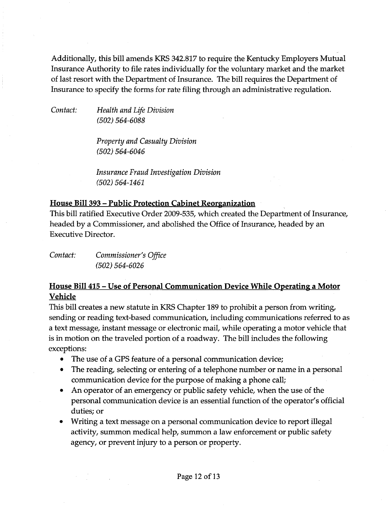Additionally, this bill amends KRS 342.817 to require the Kentucky Employers Mutual Insurance Authority to file rates individually for the voluntary market and the market of last resort with the Department of Insurance. The bill requires the Department of Insurance to specify the forms for rate filing through an administrative regulation.

*Contact: Health and Life Division (502) 564-6088*

> *Property and Casualty Division (502) 564-6046*

*Insurance Fraud Investigation Division (502) 564-1461*

#### House Bill 393 - Public Protection Cabinet Reorganization ,

This bill ratified Executive Order 2009-535, which created the Department of Insurance, headed by a Commissioner, and abolished the Office of Insurance, headed by an Executive Director.

*Contact: Commissioner's Office (502) 564-6026*

# House Bill 415 - Use of Personal Communication Device While Operating a Motor Vehicle

This bill creates a new statute in KRS Chapter 189 to prohibit a person from writing, sending or reading text-based communication, including communications referred to as a text message, instant message or electronic mail, while operating a motor vehicle that is in motion on the traveled portion of a roadway. The bill includes the following exceptions:

- The use of a GPS feature of a personal communication device;
- The reading, selecting or entering of a telephone number or name in a personal communication device for the purpose of making a phone call;
- An operator of an emergency or public safety vehicle, when the use of the personal communication device is an essential function of the operator's official duties; or
- Writing a text message on a personal communication device to report illegal activity, summon medical help, summon a law enforcement or public safety agency, or prevent injury to a person or property.